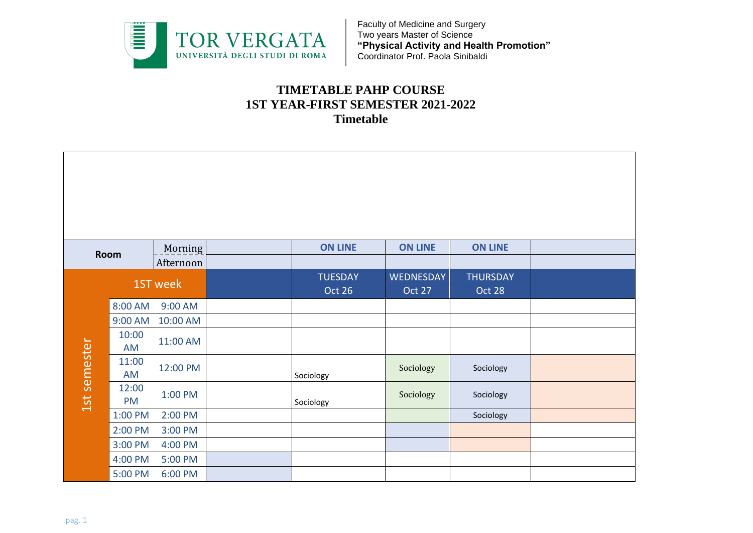

## **TIMETABLE PAHP COURSE 1ST YEAR-FIRST SEMESTER 2021-2022 Timetable**

|              | Room               | Morning   | <b>ON LINE</b>           | <b>ON LINE</b>             | <b>ON LINE</b>            |  |
|--------------|--------------------|-----------|--------------------------|----------------------------|---------------------------|--|
|              |                    | Afternoon |                          |                            |                           |  |
|              |                    | 1ST week  | <b>TUESDAY</b><br>Oct 26 | <b>WEDNESDAY</b><br>Oct 27 | <b>THURSDAY</b><br>Oct 28 |  |
|              | 8:00 AM            | 9:00 AM   |                          |                            |                           |  |
|              | 9:00 AM            | 10:00 AM  |                          |                            |                           |  |
|              | 10:00<br>AM        | 11:00 AM  |                          |                            |                           |  |
|              | 11:00<br>AM        | 12:00 PM  | Sociology                | Sociology                  | Sociology                 |  |
| 1st semester | 12:00<br><b>PM</b> | 1:00 PM   | Sociology                | Sociology                  | Sociology                 |  |
|              | 1:00 PM            | 2:00 PM   |                          |                            | Sociology                 |  |
|              | 2:00 PM            | 3:00 PM   |                          |                            |                           |  |
|              | 3:00 PM            | 4:00 PM   |                          |                            |                           |  |
|              | 4:00 PM            | 5:00 PM   |                          |                            |                           |  |
|              | 5:00 PM            | 6:00 PM   |                          |                            |                           |  |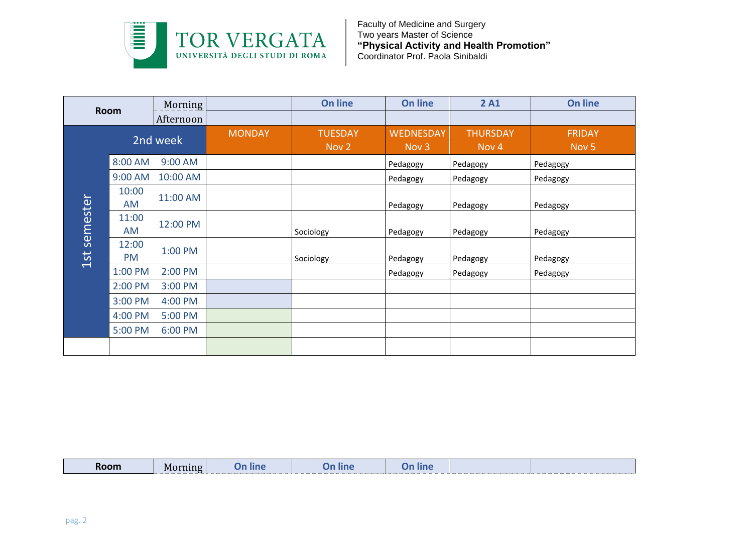

| <b>Room</b> |             | Morning   |               | <b>On line</b> | <b>On line</b>   | 2A1              | On line          |
|-------------|-------------|-----------|---------------|----------------|------------------|------------------|------------------|
|             |             | Afternoon |               |                |                  |                  |                  |
|             |             |           | <b>MONDAY</b> | <b>TUESDAY</b> | <b>WEDNESDAY</b> | <b>THURSDAY</b>  | <b>FRIDAY</b>    |
|             | 2nd week    |           |               | Nov 2          | Nov <sub>3</sub> | Nov <sub>4</sub> | Nov <sub>5</sub> |
|             | 8:00 AM     | 9:00 AM   |               |                | Pedagogy         | Pedagogy         | Pedagogy         |
|             | 9:00 AM     | 10:00 AM  |               |                | Pedagogy         | Pedagogy         | Pedagogy         |
|             | 10:00<br>AM | 11:00 AM  |               |                | Pedagogy         | Pedagogy         | Pedagogy         |
| semester    | 11:00<br>AM | 12:00 PM  |               | Sociology      | Pedagogy         | Pedagogy         | Pedagogy         |
| 1st         | 12:00<br>PM | 1:00 PM   |               | Sociology      | Pedagogy         | Pedagogy         | Pedagogy         |
|             | 1:00 PM     | 2:00 PM   |               |                | Pedagogy         | Pedagogy         | Pedagogy         |
|             | 2:00 PM     | 3:00 PM   |               |                |                  |                  |                  |
|             | 3:00 PM     | 4:00 PM   |               |                |                  |                  |                  |
|             | 4:00 PM     | 5:00 PM   |               |                |                  |                  |                  |
|             | 5:00 PM     | 6:00 PM   |               |                |                  |                  |                  |
|             |             |           |               |                |                  |                  |                  |

| Room | <b>Morning</b> | <b>IDA</b><br>шпе | <b>line</b> |  |  |
|------|----------------|-------------------|-------------|--|--|
|      |                |                   |             |  |  |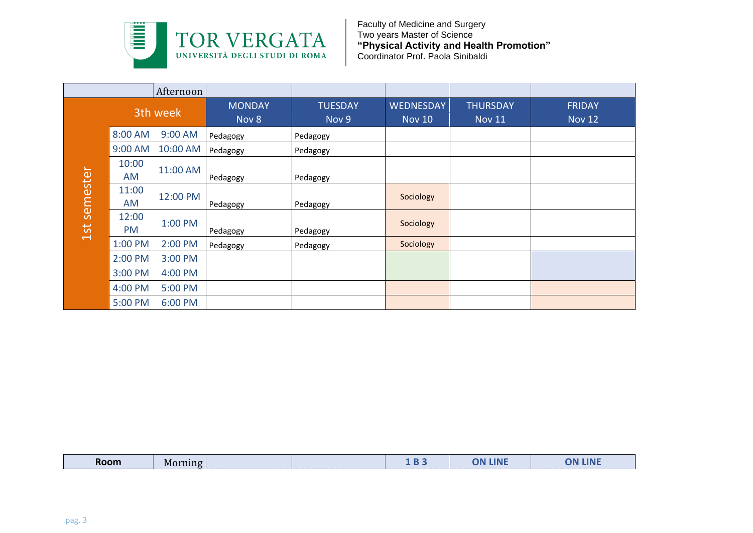

|          |                    | Afternoon |                        |                         |                                   |                                  |                                |
|----------|--------------------|-----------|------------------------|-------------------------|-----------------------------------|----------------------------------|--------------------------------|
|          |                    | 3th week  | <b>MONDAY</b><br>Nov 8 | <b>TUESDAY</b><br>Nov 9 | <b>WEDNESDAY</b><br><b>Nov 10</b> | <b>THURSDAY</b><br><b>Nov 11</b> | <b>FRIDAY</b><br><b>Nov 12</b> |
|          | 8:00 AM            | 9:00 AM   | Pedagogy               | Pedagogy                |                                   |                                  |                                |
|          | 9:00 AM            | 10:00 AM  | Pedagogy               | Pedagogy                |                                   |                                  |                                |
| semester | 10:00<br><b>AM</b> | 11:00 AM  | Pedagogy               | Pedagogy                |                                   |                                  |                                |
|          | 11:00<br>AM        | 12:00 PM  | Pedagogy               | Pedagogy                | Sociology                         |                                  |                                |
| 1st      | 12:00<br><b>PM</b> | 1:00 PM   | Pedagogy               | Pedagogy                | Sociology                         |                                  |                                |
|          | 1:00 PM            | 2:00 PM   | Pedagogy               | Pedagogy                | Sociology                         |                                  |                                |
|          | 2:00 PM            | 3:00 PM   |                        |                         |                                   |                                  |                                |
|          | 3:00 PM            | 4:00 PM   |                        |                         |                                   |                                  |                                |
|          | 4:00 PM            | 5:00 PM   |                        |                         |                                   |                                  |                                |
|          | 5:00 PM            | 6:00 PM   |                        |                         |                                   |                                  |                                |

| Room | $\sim$ orning $\sim$<br>$\cdot$ |  | __ | <b>ON LINE</b> | <b><i>BASE</i></b><br>אר<br>UN LINE |
|------|---------------------------------|--|----|----------------|-------------------------------------|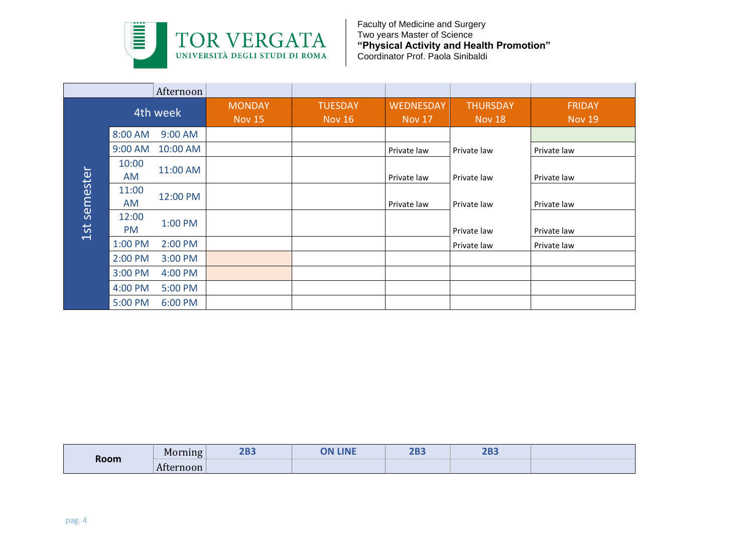

|          |                    | Afternoon |                                |                                 |                                   |                                  |                                |
|----------|--------------------|-----------|--------------------------------|---------------------------------|-----------------------------------|----------------------------------|--------------------------------|
|          | 4th week           |           | <b>MONDAY</b><br><b>Nov 15</b> | <b>TUESDAY</b><br><b>Nov 16</b> | <b>WEDNESDAY</b><br><b>Nov 17</b> | <b>THURSDAY</b><br><b>Nov 18</b> | <b>FRIDAY</b><br><b>Nov 19</b> |
|          | 8:00 AM            | 9:00 AM   |                                |                                 |                                   |                                  |                                |
|          | 9:00 AM            | 10:00 AM  |                                |                                 | Private law                       | Private law                      | Private law                    |
| semester | 10:00<br>AM        | 11:00 AM  |                                |                                 | Private law                       | Private law                      | Private law                    |
|          | 11:00<br>AM        | 12:00 PM  |                                |                                 | Private law                       | Private law                      | Private law                    |
| 1st      | 12:00<br><b>PM</b> | 1:00 PM   |                                |                                 |                                   | Private law                      | Private law                    |
|          | 1:00 PM            | 2:00 PM   |                                |                                 |                                   | Private law                      | Private law                    |
|          | 2:00 PM            | 3:00 PM   |                                |                                 |                                   |                                  |                                |
|          | 3:00 PM            | 4:00 PM   |                                |                                 |                                   |                                  |                                |
|          | 4:00 PM            | 5:00 PM   |                                |                                 |                                   |                                  |                                |
|          | 5:00 PM            | 6:00 PM   |                                |                                 |                                   |                                  |                                |

| Room | Morning   | an-<br><b>ZDJ</b> | <b>LINE</b><br>ON | רחר<br>ZDJ | on-<br>2DJ |  |
|------|-----------|-------------------|-------------------|------------|------------|--|
|      | Afternoon |                   |                   |            |            |  |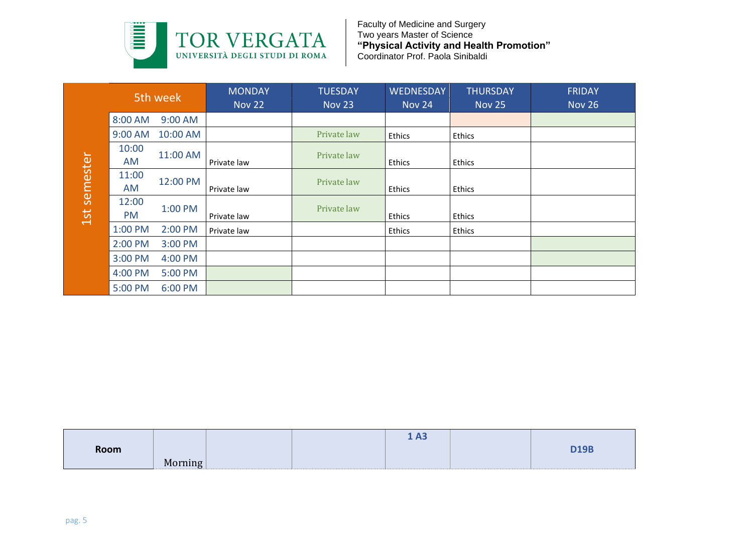

|               | 5th week           |          | <b>MONDAY</b><br><b>Nov 22</b> | <b>TUESDAY</b><br><b>Nov 23</b> | <b>WEDNESDAY</b><br>Nov 24 | <b>THURSDAY</b><br><b>Nov 25</b> | <b>FRIDAY</b><br><b>Nov 26</b> |
|---------------|--------------------|----------|--------------------------------|---------------------------------|----------------------------|----------------------------------|--------------------------------|
|               | 8:00 AM            | 9:00 AM  |                                |                                 |                            |                                  |                                |
|               | 9:00 AM            | 10:00 AM |                                | Private law                     | <b>Ethics</b>              | Ethics                           |                                |
| semester      | 10:00<br>AM        | 11:00 AM | Private law                    | Private law                     | <b>Ethics</b>              | Ethics                           |                                |
|               | 11:00<br>AM        | 12:00 PM | Private law                    | Private law                     | <b>Ethics</b>              | Ethics                           |                                |
| $\frac{1}{3}$ | 12:00<br><b>PM</b> | 1:00 PM  | Private law                    | Private law                     | <b>Ethics</b>              | Ethics                           |                                |
|               | 1:00 PM            | 2:00 PM  | Private law                    |                                 | Ethics                     | Ethics                           |                                |
|               | 2:00 PM            | 3:00 PM  |                                |                                 |                            |                                  |                                |
|               | 3:00 PM            | 4:00 PM  |                                |                                 |                            |                                  |                                |
|               | 4:00 PM            | 5:00 PM  |                                |                                 |                            |                                  |                                |
|               | 5:00 PM            | 6:00 PM  |                                |                                 |                            |                                  |                                |

|              | AM          | 11:00 AM | Private law | Private law | Ethics | Ethics |             |
|--------------|-------------|----------|-------------|-------------|--------|--------|-------------|
| 1st semester | 11:00<br>AM | 12:00 PM | Private law | Private law | Ethics | Ethics |             |
|              | 12:00<br>PM | 1:00 PM  | Private law | Private law | Ethics | Ethics |             |
|              | 1:00 PM     | 2:00 PM  | Private law |             | Ethics | Ethics |             |
|              | 2:00 PM     | 3:00 PM  |             |             |        |        |             |
|              | 3:00 PM     | 4:00 PM  |             |             |        |        |             |
|              | 4:00 PM     | 5:00 PM  |             |             |        |        |             |
|              | 5:00 PM     | 6:00 PM  |             |             |        |        |             |
|              |             |          |             |             | 1A3    |        |             |
|              | Room        | Morning  |             |             |        |        | <b>D19B</b> |
|              |             |          |             |             |        |        |             |
| pag. 5       |             |          |             |             |        |        |             |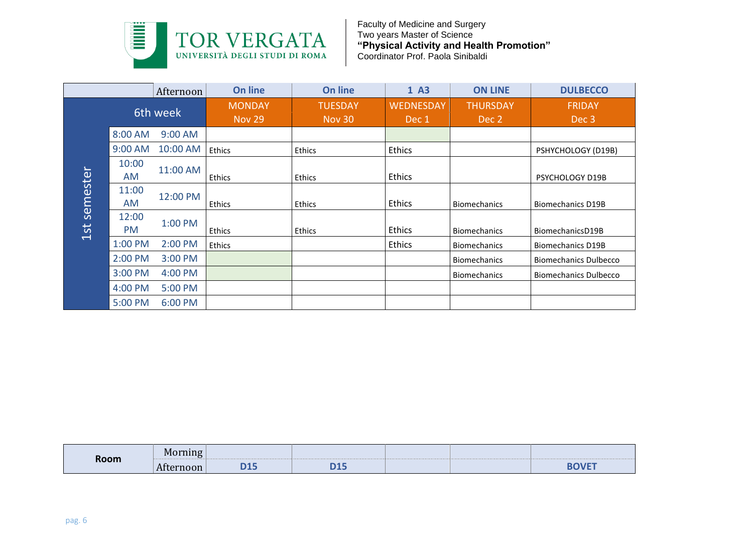

|                          |             | Afternoon | <b>On line</b>                 | <b>On line</b>           | 1 A3                      | <b>ON LINE</b>           | <b>DULBECCO</b>              |
|--------------------------|-------------|-----------|--------------------------------|--------------------------|---------------------------|--------------------------|------------------------------|
|                          | 6th week    |           | <b>MONDAY</b><br><b>Nov 29</b> | <b>TUESDAY</b><br>Nov 30 | <b>WEDNESDAY</b><br>Dec 1 | <b>THURSDAY</b><br>Dec 2 | <b>FRIDAY</b><br>Dec 3       |
|                          | 8:00 AM     | 9:00 AM   |                                |                          |                           |                          |                              |
|                          | 9:00 AM     | 10:00 AM  | Ethics                         | <b>Ethics</b>            | <b>Ethics</b>             |                          | PSHYCHOLOGY (D19B)           |
| $\overline{\phantom{a}}$ | 10:00<br>AM | 11:00 AM  | <b>Ethics</b>                  | Ethics                   | <b>Ethics</b>             |                          | PSYCHOLOGY D19B              |
| semeste                  | 11:00<br>AM | 12:00 PM  | Ethics                         | Ethics                   | Ethics                    | <b>Biomechanics</b>      | <b>Biomechanics D19B</b>     |
| 1st                      | 12:00<br>PM | 1:00 PM   | <b>Ethics</b>                  | Ethics                   | <b>Ethics</b>             | <b>Biomechanics</b>      | BiomechanicsD19B             |
|                          | 1:00 PM     | 2:00 PM   | Ethics                         |                          | <b>Ethics</b>             | <b>Biomechanics</b>      | <b>Biomechanics D19B</b>     |
|                          | 2:00 PM     | 3:00 PM   |                                |                          |                           | <b>Biomechanics</b>      | <b>Biomechanics Dulbecco</b> |
|                          | 3:00 PM     | 4:00 PM   |                                |                          |                           | <b>Biomechanics</b>      | <b>Biomechanics Dulbecco</b> |
|                          | 4:00 PM     | 5:00 PM   |                                |                          |                           |                          |                              |
|                          | 5:00 PM     | $6:00$ PM |                                |                          |                           |                          |                              |

|      | Mor<br>rning<br>. . |            |            |  |              |
|------|---------------------|------------|------------|--|--------------|
| Room | Aft<br>noon:        | <b>115</b> | <b>SAF</b> |  | <b>BOVET</b> |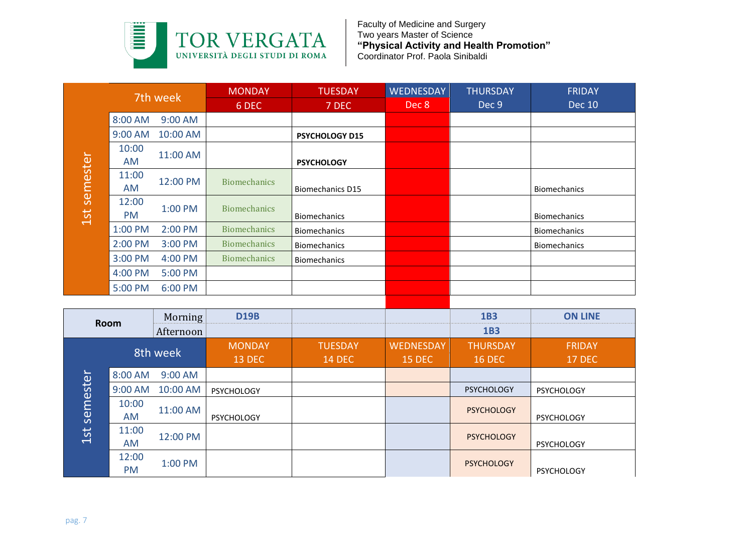

| 7th week                  |              | <b>MONDAY</b> | <b>TUESDAY</b>      | <b>WEDNESDAY</b>        | <b>THURSDAY</b> | <b>FRIDAY</b> |                     |
|---------------------------|--------------|---------------|---------------------|-------------------------|-----------------|---------------|---------------------|
|                           |              |               | 6 DEC               | 7 DEC                   | Dec 8           | Dec 9         | <b>Dec 10</b>       |
|                           | 8:00 AM      | 9:00 AM       |                     |                         |                 |               |                     |
|                           | 9:00 AM      | 10:00 AM      |                     | <b>PSYCHOLOGY D15</b>   |                 |               |                     |
|                           | 10:00<br>AM  | 11:00 AM      |                     | <b>PSYCHOLOGY</b>       |                 |               |                     |
| <b>PICDITIO</b><br>ງ<br>1 | 11:00<br>AM. | 12:00 PM      | <b>Biomechanics</b> | <b>Biomechanics D15</b> |                 |               | <b>Biomechanics</b> |
|                           | 12:00<br>PM. | 1:00 PM       | <b>Biomechanics</b> | <b>Biomechanics</b>     |                 |               | <b>Biomechanics</b> |
|                           | 1:00 PM      | 2:00 PM       | <b>Biomechanics</b> | <b>Biomechanics</b>     |                 |               | <b>Biomechanics</b> |
|                           | 2:00 PM      | 3:00 PM       | <b>Biomechanics</b> | <b>Biomechanics</b>     |                 |               | <b>Biomechanics</b> |
|                           | 3:00 PM      | 4:00 PM       | <b>Biomechanics</b> | <b>Biomechanics</b>     |                 |               |                     |
|                           | 4:00 PM      | 5:00 PM       |                     |                         |                 |               |                     |
|                           | 5:00 PM      | 6:00 PM       |                     |                         |                 |               |                     |
|                           |              |               |                     |                         |                 |               |                     |

|              | <b>AM</b>          | 11:00 AM  |                     | <b>PSYCHOLOGY</b>       |                  |                   |                     |  |
|--------------|--------------------|-----------|---------------------|-------------------------|------------------|-------------------|---------------------|--|
| 1st semester | 11:00<br>AM        | 12:00 PM  | <b>Biomechanics</b> | <b>Biomechanics D15</b> |                  |                   | <b>Biomechanics</b> |  |
|              | 12:00<br><b>PM</b> | 1:00 PM   | <b>Biomechanics</b> | <b>Biomechanics</b>     |                  |                   | Biomechanics        |  |
|              | 1:00 PM            | 2:00 PM   | <b>Biomechanics</b> | <b>Biomechanics</b>     |                  |                   | Biomechanics        |  |
|              | 2:00 PM            | 3:00 PM   | <b>Biomechanics</b> | Biomechanics            |                  |                   | <b>Biomechanics</b> |  |
|              | 3:00 PM            | 4:00 PM   | <b>Biomechanics</b> | <b>Biomechanics</b>     |                  |                   |                     |  |
|              | 4:00 PM            | 5:00 PM   |                     |                         |                  |                   |                     |  |
|              | 5:00 PM            | 6:00 PM   |                     |                         |                  |                   |                     |  |
|              |                    |           |                     |                         |                  |                   |                     |  |
|              | Morning<br>Room    |           | <b>D19B</b>         |                         |                  | <b>1B3</b>        | <b>ON LINE</b>      |  |
|              |                    | Afternoon |                     |                         |                  | 1B3               |                     |  |
|              | 8th week           |           | <b>MONDAY</b>       | <b>TUESDAY</b>          | <b>WEDNESDAY</b> | <b>THURSDAY</b>   | <b>FRIDAY</b>       |  |
|              |                    |           |                     |                         |                  |                   | <b>17 DEC</b>       |  |
|              |                    |           | <b>13 DEC</b>       | <b>14 DEC</b>           | <b>15 DEC</b>    | <b>16 DEC</b>     |                     |  |
|              | 8:00 AM            | 9:00 AM   |                     |                         |                  |                   |                     |  |
|              | 9:00 AM            | 10:00 AM  | PSYCHOLOGY          |                         |                  | <b>PSYCHOLOGY</b> | PSYCHOLOGY          |  |
|              | 10:00<br>AM        | 11:00 AM  | <b>PSYCHOLOGY</b>   |                         |                  | <b>PSYCHOLOGY</b> | <b>PSYCHOLOGY</b>   |  |
| 1st semester | 11:00<br>AM        | 12:00 PM  |                     |                         |                  | <b>PSYCHOLOGY</b> | <b>PSYCHOLOGY</b>   |  |
|              | 12:00<br>PM        | 1:00 PM   |                     |                         |                  | <b>PSYCHOLOGY</b> | PSYCHOLOGY          |  |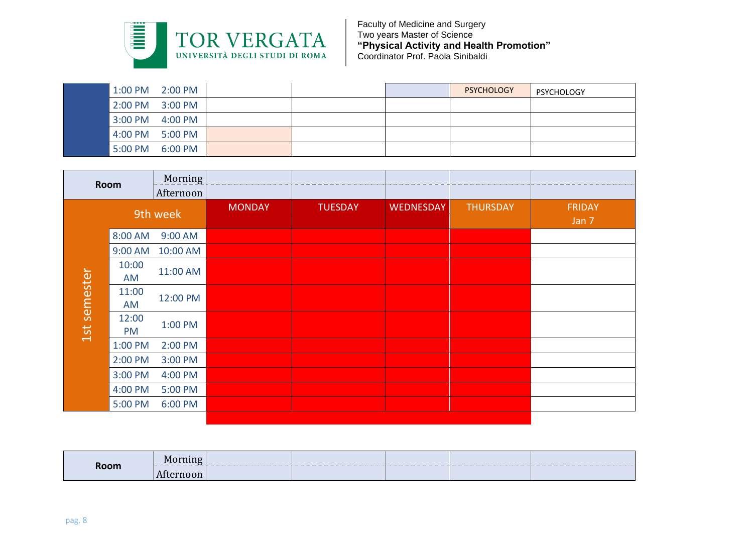

| $1:00$ PM | $2:00$ PM |  | <b>PSYCHOLOGY</b> | <b>PSYCHOLOGY</b> |
|-----------|-----------|--|-------------------|-------------------|
| $2:00$ PM | $3:00$ PM |  |                   |                   |
| $3:00$ PM | 4:00 PM   |  |                   |                   |
| 4:00 PM   | 5:00 PM   |  |                   |                   |
| 5:00 PM   | 6:00 PM   |  |                   |                   |

| <b>Room</b>  |                    | Morning<br>Afternoon |               |                |                  |                 |                        |
|--------------|--------------------|----------------------|---------------|----------------|------------------|-----------------|------------------------|
|              |                    | 9th week             | <b>MONDAY</b> | <b>TUESDAY</b> | <b>WEDNESDAY</b> | <b>THURSDAY</b> | <b>FRIDAY</b><br>Jan 7 |
|              | 8:00 AM            | 9:00 AM              |               |                |                  |                 |                        |
|              | 9:00 AM            | 10:00 AM             |               |                |                  |                 |                        |
|              | 10:00<br>AM        | 11:00 AM             |               |                |                  |                 |                        |
| 1st semester | 11:00<br>AM        | 12:00 PM             |               |                |                  |                 |                        |
|              | 12:00<br><b>PM</b> | 1:00 PM              |               |                |                  |                 |                        |
|              | 1:00 PM            | 2:00 PM              |               |                |                  |                 |                        |
|              | 2:00 PM            | 3:00 PM              |               |                |                  |                 |                        |
|              | 3:00 PM            | 4:00 PM              |               |                |                  |                 |                        |
|              | 4:00 PM            | 5:00 PM              |               |                |                  |                 |                        |
|              | 5:00 PM            | 6:00 PM              |               |                |                  |                 |                        |
|              |                    |                      |               |                |                  |                 |                        |

|      | Morning   |  |  |  |
|------|-----------|--|--|--|
| Room | Afternoon |  |  |  |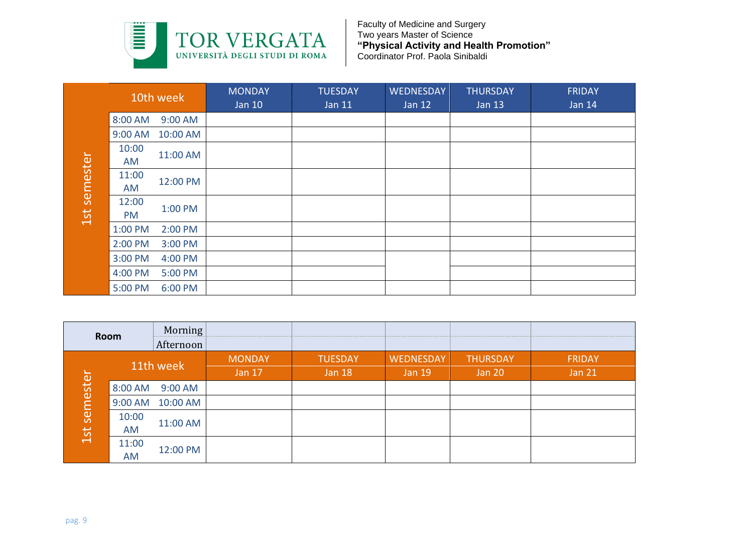

|                 |                    | 10th week | <b>MONDAY</b><br><b>Jan 10</b> | <b>TUESDAY</b><br>Jan 11 | <b>WEDNESDAY</b><br>Jan 12 | <b>THURSDAY</b><br><b>Jan 13</b> | <b>FRIDAY</b><br><b>Jan 14</b> |
|-----------------|--------------------|-----------|--------------------------------|--------------------------|----------------------------|----------------------------------|--------------------------------|
|                 | 8:00 AM            | 9:00 AM   |                                |                          |                            |                                  |                                |
|                 | 9:00 AM            | 10:00 AM  |                                |                          |                            |                                  |                                |
| semester<br>1st | 10:00<br>AM        | 11:00 AM  |                                |                          |                            |                                  |                                |
|                 | 11:00<br>AM        | 12:00 PM  |                                |                          |                            |                                  |                                |
|                 | 12:00<br><b>PM</b> | 1:00 PM   |                                |                          |                            |                                  |                                |
|                 | 1:00 PM            | 2:00 PM   |                                |                          |                            |                                  |                                |
|                 | 2:00 PM            | 3:00 PM   |                                |                          |                            |                                  |                                |
|                 | 3:00 PM            | 4:00 PM   |                                |                          |                            |                                  |                                |
|                 | 4:00 PM            | 5:00 PM   |                                |                          |                            |                                  |                                |
|                 | 5:00 PM            | 6:00 PM   |                                |                          |                            |                                  |                                |

|              | AM          | 11:00 AM  |                                |                                 |                                   |                                  |                                |
|--------------|-------------|-----------|--------------------------------|---------------------------------|-----------------------------------|----------------------------------|--------------------------------|
| 1st semester | 11:00<br>AM | 12:00 PM  |                                |                                 |                                   |                                  |                                |
|              | 12:00<br>PM | 1:00 PM   |                                |                                 |                                   |                                  |                                |
|              | 1:00 PM     | 2:00 PM   |                                |                                 |                                   |                                  |                                |
|              | 2:00 PM     | 3:00 PM   |                                |                                 |                                   |                                  |                                |
|              | 3:00 PM     | 4:00 PM   |                                |                                 |                                   |                                  |                                |
|              | 4:00 PM     | 5:00 PM   |                                |                                 |                                   |                                  |                                |
|              | 5:00 PM     | 6:00 PM   |                                |                                 |                                   |                                  |                                |
|              |             |           |                                |                                 |                                   |                                  |                                |
|              | Room        | Morning   |                                |                                 |                                   |                                  |                                |
|              |             |           |                                |                                 |                                   |                                  |                                |
|              |             | Afternoon |                                |                                 |                                   |                                  |                                |
|              |             | 11th week | <b>MONDAY</b><br><b>Jan 17</b> | <b>TUESDAY</b><br><b>Jan 18</b> | <b>WEDNESDAY</b><br><b>Jan 19</b> | <b>THURSDAY</b><br><b>Jan 20</b> | <b>FRIDAY</b><br><b>Jan 21</b> |
|              | 8:00 AM     | 9:00 AM   |                                |                                 |                                   |                                  |                                |
|              | 9:00 AM     | 10:00 AM  |                                |                                 |                                   |                                  |                                |
|              | 10:00<br>AM | 11:00 AM  |                                |                                 |                                   |                                  |                                |
| 1st semester | 11:00<br>AM | 12:00 PM  |                                |                                 |                                   |                                  |                                |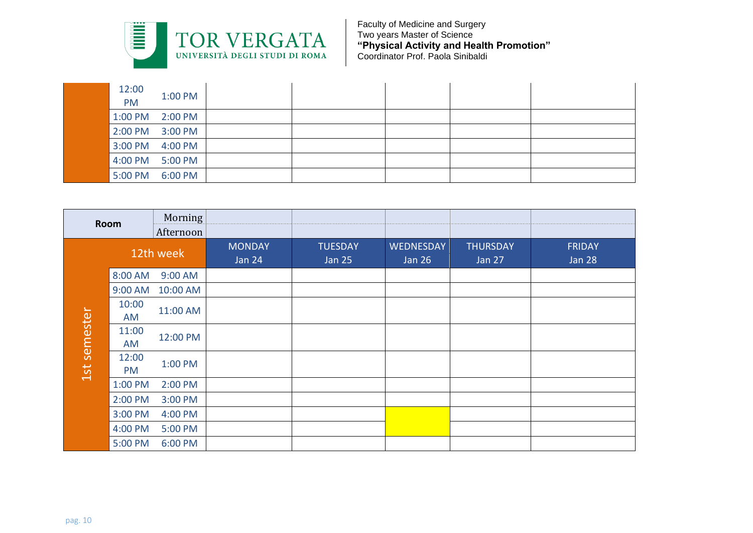

| 12:00<br><b>PM</b> | 1:00 PM         |  |  |  |
|--------------------|-----------------|--|--|--|
|                    | 1:00 PM 2:00 PM |  |  |  |
| 2:00 PM 3:00 PM    |                 |  |  |  |
| 3:00 PM 4:00 PM    |                 |  |  |  |
| 4:00 PM 5:00 PM    |                 |  |  |  |
| 5:00 PM            | 6:00 PM         |  |  |  |

| Room         |                    | Morning<br>Afternoon |                                |                                 |                                   |                                  |                                |
|--------------|--------------------|----------------------|--------------------------------|---------------------------------|-----------------------------------|----------------------------------|--------------------------------|
|              | 12th week          |                      | <b>MONDAY</b><br><b>Jan 24</b> | <b>TUESDAY</b><br><b>Jan 25</b> | <b>WEDNESDAY</b><br><b>Jan 26</b> | <b>THURSDAY</b><br><b>Jan 27</b> | <b>FRIDAY</b><br><b>Jan 28</b> |
|              | 8:00 AM            | 9:00 AM              |                                |                                 |                                   |                                  |                                |
|              | 9:00 AM            | 10:00 AM             |                                |                                 |                                   |                                  |                                |
|              | 10:00<br>AM        | 11:00 AM             |                                |                                 |                                   |                                  |                                |
| 1st semester | 11:00<br>AM        | 12:00 PM             |                                |                                 |                                   |                                  |                                |
|              | 12:00<br><b>PM</b> | 1:00 PM              |                                |                                 |                                   |                                  |                                |
|              | 1:00 PM            | 2:00 PM              |                                |                                 |                                   |                                  |                                |
|              | 2:00 PM            | 3:00 PM              |                                |                                 |                                   |                                  |                                |
|              | 3:00 PM            | 4:00 PM              |                                |                                 |                                   |                                  |                                |
|              | 4:00 PM            | 5:00 PM              |                                |                                 |                                   |                                  |                                |
|              | 5:00 PM            | 6:00 PM              |                                |                                 |                                   |                                  |                                |